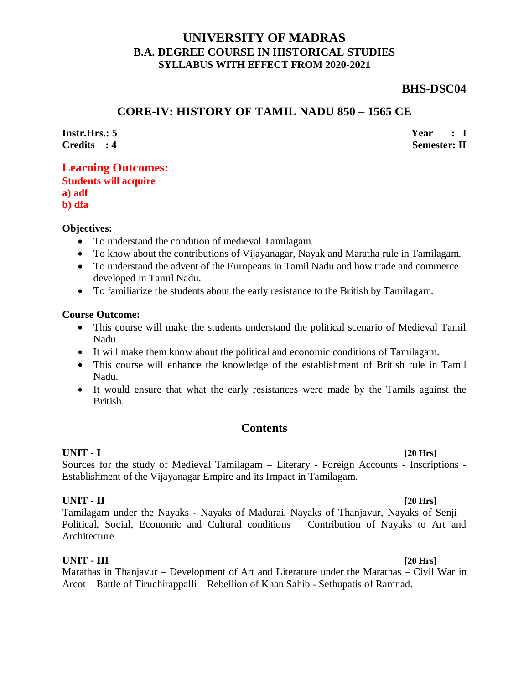# **UNIVERSITY OF MADRAS B.A. DEGREE COURSE IN HISTORICAL STUDIES SYLLABUS WITH EFFECT FROM 2020-2021**

# **BHS-DSC04**

# **CORE-IV: HISTORY OF TAMIL NADU 850 – 1565 CE**

**Instr.Hrs.: 5 Credits : 4** **Year : I Semester: II**

# **Learning Outcomes:**

|        | <b>Students will acquire</b> |
|--------|------------------------------|
| a) adf |                              |
| b) dfa |                              |

### **Objectives:**

- To understand the condition of medieval Tamilagam.
- To know about the contributions of Vijayanagar, Nayak and Maratha rule in Tamilagam.
- To understand the advent of the Europeans in Tamil Nadu and how trade and commerce developed in Tamil Nadu.
- To familiarize the students about the early resistance to the British by Tamilagam.

#### **Course Outcome:**

- This course will make the students understand the political scenario of Medieval Tamil Nadu.
- It will make them know about the political and economic conditions of Tamilagam.
- This course will enhance the knowledge of the establishment of British rule in Tamil Nadu.
- It would ensure that what the early resistances were made by the Tamils against the British.

# **Contents**

#### **UNIT - I [20 Hrs]** Sources for the study of Medieval Tamilagam – Literary - Foreign Accounts - Inscriptions - Establishment of the Vijayanagar Empire and its Impact in Tamilagam.

## **UNIT - II [20 Hrs]**

Tamilagam under the Nayaks - Nayaks of Madurai, Nayaks of Thanjavur, Nayaks of Senji – Political, Social, Economic and Cultural conditions – Contribution of Nayaks to Art and Architecture

### **UNIT - III [20 Hrs]**

Marathas in Thanjavur – Development of Art and Literature under the Marathas – Civil War in Arcot – Battle of Tiruchirappalli – Rebellion of Khan Sahib - Sethupatis of Ramnad.